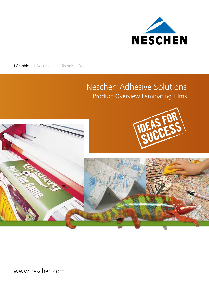

**I Graphics** II Documents II Technical Coatings

# Neschen Adhesive Solutions Product Overview Laminating Films





www.neschen.com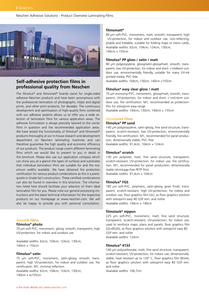Neschen Adhesive Solutions - Product Overview Laminating FIlms



# **Self-adhesive protection films in professional quality from Neschen**

The filmolux® and filmomatt® brands stand for single-sided adhesive Neschen products and have been synonymous with the professional lamination of photographs, inkjet and digital prints, and other print products, for decades. The continuous development and optimisation of high-quality films combined with our adhesive systems allows us to offer you a wide selection of lamination films for various application areas. The adhesive formulation is always precisely tailored to the carrier films in question and the recommended application areas. We have tested the functionality of filmolux® and filmomatt® products thoroughly at our in-house research and development department on Neschen laminating machines and can therefore guarantee the high quality and economic efficiency of our products. The product range covers different laminating films which we would like to present to you in detail in this brochure. Please also use our application compass which can show you at a glance the types of surfaces and substrates that individual lamination films are suitable for and the maximum widths available. We have obtained fire protection certification for various product combinations as this is a prerequisite in (trade fair) construction. These certified combinations can also be found in overview in this brochure. The information listed here should facilitate your selection of them ideal lamination film for you. Please note our general processing instructions and the latest technical information for the respective products on our homepage at www.neschen.com. We will also be happy to provide you with personal consultation.

# **Smooth Films**

# **filmolux® photo**

70 μm soft-PVC, monomeric, glossy, smooth, transparent, high UV-protection, for indoor and outdoor use

Available widths: 62cm, 104cm, 124cm, 130cm, 140cm + 155cm

# **filmolux® satin**

75 μm soft-PVC, monomeric, satin-glossy, smooth, transparent, high UV-protection, for indoor and outdoor use, fire certification: M1, minimal reflection Available widths: 62cm, 104cm, 124cm, 130cm,

140cm + w155cm

#### **filmomatt®**

80 μm soft-PVC, monomeric, matt, smooth, transparent, high UV-protection, for indoor and outdoor use, non-reflecting, pliable and foldable, suitable for folding maps or menu cards, Available widths: 62cm, 104cm, 124cm, 130cm, 140cm + 155cm

#### **filmolux® PP gloss / satin / matt**

80 μm polypropylene, glossy/satin-glossy/matt, smooth, transparent, low UV-protection, for indoor and short -/ midterm outdoor use, environmentally friendly, suitable for many UV-ink printed media, PVC-free

Available widths: 104cm, 130cm, 140cm +155cm

# **filmolux® easy clear gloss / matt**

70 μm economy-PVC, monomeric, glossy/matt, smooth, transparent, UV-protection, for indoor and short -/ mid-term outdoor use, fire certification: M1, recommended as protectionfilm for solvoprint easy-range

Available widths: 104cm, 130cm, 140cm + 155cm

### **Structured Films**

# **filmolux® PP sand**

140 μm polypropylene, satin-glossy, fine sand structure, transparent, scratch-resistant, low UV-protection, environmentally friendly, fire certification: M1, recommended for panel production, dimensionally stable, PVC-free

Available widths: 91,4cm, 104cm + 124cm

# **filmolux® scratch**

130 μm polyester, matt, fine sand structure, transparent, scratch-resistant, UV-protection, for indoor use, fire certification: M1, recommended for panel production, dimensionally stable (shrinkage-free PETP film) Available widths: 91,4cm + 104cm

# **filmolux® FGS**

185 μm soft-PVC, polymeric, satin-glossy, grain finish, transparent, scratch-resistant, high UV-protection, for indoor and outdoor use, floor graphics film (UL), as floor graphics solution with solvoprint easy 80 GSP rem. and nolite Available widths: 104cm + 140cm

# **filmotack® nippon**

225 μm soft-PVC, monomeric, matt, fine sand structure, transparent, scratch-resistant, UV-protection, for indoor use, used to reinforce maps, plans and panels, floor graphics film (UL+BGIA), as floor graphics solution with solvoprint easy 80 GSP rem. and nolite Available widths: 124cm

#### **filmolux® 4133**

140 μm polycarbonate, matt, fine sand structure, transparent, scratch-resistant, UV-protection, for indoor use, dimensionally stable, heat resistant up to 120° C, floor graphics film (BGIA), as floor graphics solution with solvoprint easy 80 GSP rem. and nolite

Available widths: 106,7cm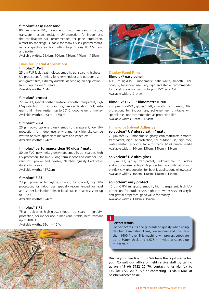# **filmolux® easy clear sand**

80 μm special-PVC, monomeric, matt, fine sand structure, transparent, scratch-resistant, UV-protection, for indoor use, fire certification: M1, recommended for panel production, almost no shrinkage, suitable for many UV-ink printed media, as floor graphics solution with solvoprint easy 80 GSP rem. and nolite

Available widths: 91,4cm, 104cm, 130cm, 140cm + 155cm

#### **Films for Special Applications**

# **filmolux® UV-E**

25 μm PVF Tedlar, satin-glossy, smooth, transparent, highest UV-protection, for mid- / long-term indoor and outdoor use, anti-graffiti film, extremly durable, depending on application from 5 up to over 10 years Available widths: 104cm

**filmolux® protect**

22 μm PET, special finished surface, smooth, transparent, high UV-protection, for outdoor use, fire certification: M1, antigraffiti film, heat resitant up to 50° C, good value for money Available widths: 140cm + 155cm

# **filmolux® 2004**

25 μm polypropylene glossy, smooth, transparent, low UVprotection, for indoor use, environmentally friendly, can be written on with appropiate markers and wiped off Available widths: 124cm

# **filmolux® performance clear 80 gloss / matt**

80 μm PVC, polymeric, glossy/matt, smooth, transparent, high UV-protection, for mid- / long-term indoor and outdoor use, very soft, pliable and flexible, Neschen Quality Certificate: durability 5 years

Available widths: 137,2cm

#### **filmolux® S 23**

23 μm polyester, high-gloss, smooth, transparent, high UVprotection, for indoor use, specially recommended for label and sticker lamination, dimensional stable, heat restistant up to 100° C

Available widths: 124cm

# **filmolux® S 75**

75 μm polyester, high-gloss, smooth, transparent, high UVprotection, for indoor use, dimensional stable, heat resistant up to 100° C

Available widths: 62cm + 124cm





#### **Display Panel Films**

#### **filmolux® easy panel**

400 μm rigid-PVC, monomeric, satin-white, smooth, 90% opaque, for indoor use, very rigid and stable, recommended for panel production with solvoprint PVC sand CA Available widths: 91,4cm

#### **filmolux® H 200 / filmomatt® H 200**

200 μm rigid-PVC, glossy/matt, smooth, transparent, UVprotection, for indoor use, softener-free, printable with special inks, not recommended as protection film Available widths: 62cm + 124cm

#### **Films with Solvent Adhesive**

# **solvoclear® UV gloss / satin / matt**

70 μm soft-PVC, monomeric, glossy/satin-matt/matt, smooth, transparent, high UV-protection, for outdoor use, high tack, water-resistant acrylic, suitable for many UV ink printed media Available widths: 104cm, 130cm, 140cm + 154cm

#### **solvoclear® UV ultra gloss**

36 μm PET, glossy, transparent, cadmiumfree, for indoor and outdoor use, antigraffiti properties, in combination with printlux citylight superior for backlit applications (showcases) Available widths: 104cm, 130cm, 140cm + 154cm

#### **solvoclear® easy protect**

40 μm OPP-film, glossy, smooth, high transparent, high UVprotection, for outdoor use, high tack, water-resistant acrylic, anti-graffiti properties, good value for money Available widths: 130cm + 154cm

#### **Perfect results**

i

For perfect results and guaranteed quality when using Neschen Laminating Films, we recommend the Neschen 1600 Move. This machine will process substrate up to 50mm thick and 1.575 mm wide at speeds up to 5m /min.

Discuss your needs with us. We have the right media for you! Consult our office or field service staff by calling us on +49 (0) 5722 20 70, contacting us via fax to +49 (0) 5722 20 71 97 or contacting us via E-Mail at neschen@neschen.de.